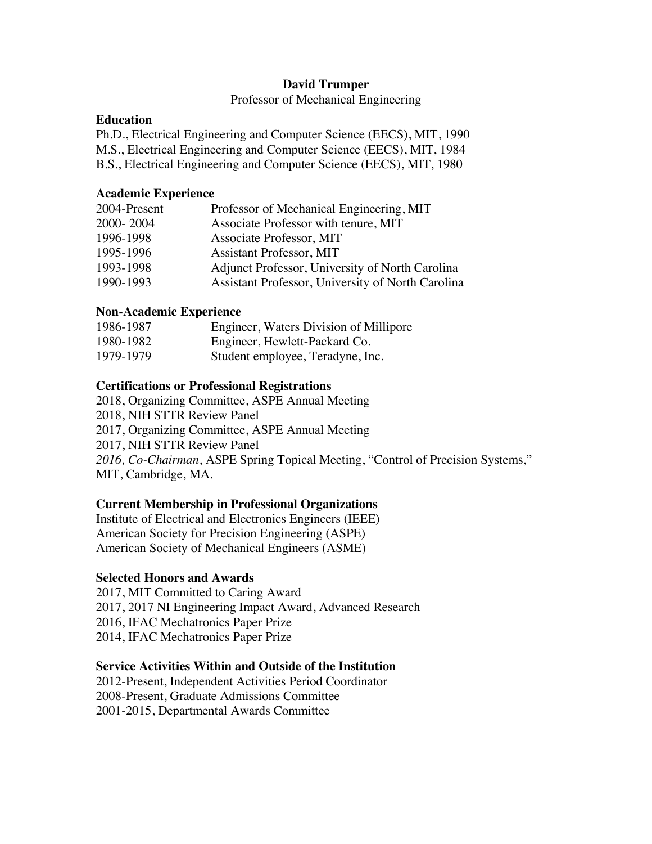## **David Trumper**

Professor of Mechanical Engineering

### **Education**

Ph.D., Electrical Engineering and Computer Science (EECS), MIT, 1990 M.S., Electrical Engineering and Computer Science (EECS), MIT, 1984 B.S., Electrical Engineering and Computer Science (EECS), MIT, 1980

### **Academic Experience**

| 2004-Present | Professor of Mechanical Engineering, MIT          |
|--------------|---------------------------------------------------|
| 2000-2004    | Associate Professor with tenure, MIT              |
| 1996-1998    | Associate Professor, MIT                          |
| 1995-1996    | <b>Assistant Professor, MIT</b>                   |
| 1993-1998    | Adjunct Professor, University of North Carolina   |
| 1990-1993    | Assistant Professor, University of North Carolina |

# **Non-Academic Experience**

| 1986-1987 | Engineer, Waters Division of Millipore |
|-----------|----------------------------------------|
| 1980-1982 | Engineer, Hewlett-Packard Co.          |
| 1979-1979 | Student employee, Teradyne, Inc.       |

# **Certifications or Professional Registrations**

2018, Organizing Committee, ASPE Annual Meeting 2018, NIH STTR Review Panel 2017, Organizing Committee, ASPE Annual Meeting 2017, NIH STTR Review Panel *2016, Co-Chairman*, ASPE Spring Topical Meeting, "Control of Precision Systems," MIT, Cambridge, MA.

### **Current Membership in Professional Organizations**

Institute of Electrical and Electronics Engineers (IEEE) American Society for Precision Engineering (ASPE) American Society of Mechanical Engineers (ASME)

### **Selected Honors and Awards**

2017, MIT Committed to Caring Award 2017, 2017 NI Engineering Impact Award, Advanced Research 2016, IFAC Mechatronics Paper Prize 2014, IFAC Mechatronics Paper Prize

### **Service Activities Within and Outside of the Institution**

2012-Present, Independent Activities Period Coordinator 2008-Present, Graduate Admissions Committee 2001-2015, Departmental Awards Committee